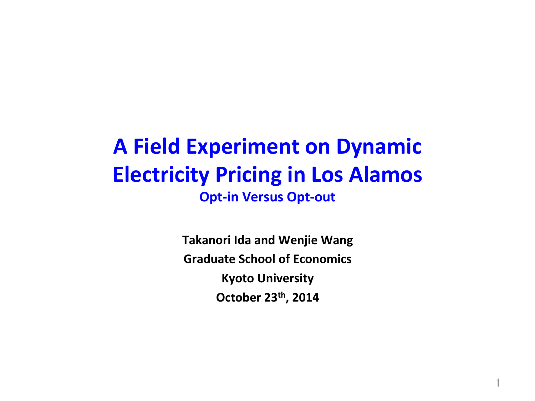## **A Field Experiment on Dynamic Electricity Pricing in Los Alamos Opt-in Versus Opt-out**

**Takanori Ida and Wenjie Wang Graduate School of Economics Kyoto University October 23th, 2014** 

1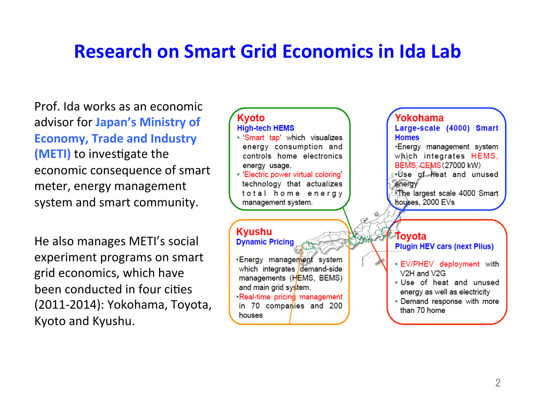#### **Research on Smart Grid Economics in Ida Lab**

Prof. Ida works as an economic advisor for **Japan's Ministry of Economy, Trade and Industry (METI)** to investigate the economic consequence of smart meter, energy management system and smart community.

He also manages METI's social experiment programs on smart grid economics, which have been conducted in four cities (2011-2014): Yokohama, Toyota, Kyoto and Kyushu.

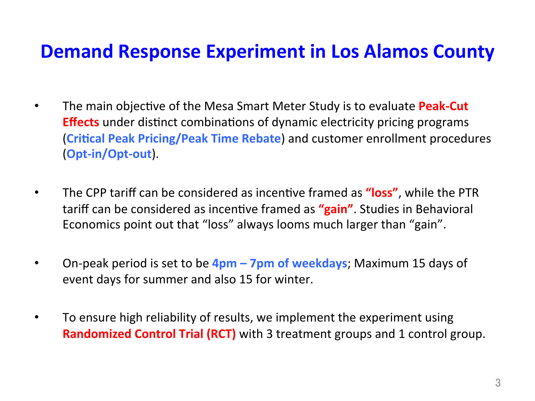#### **Demand Response Experiment in Los Alamos County**

- The main objective of the Mesa Smart Meter Study is to evaluate **Peak-Cut Effects** under distinct combinations of dynamic electricity pricing programs **(Critical Peak Pricing/Peak Time Rebate)** and customer enrollment procedures (**Opt-in/Opt-out**).
- The CPP tariff can be considered as incentive framed as **"loss"**, while the PTR tariff can be considered as incentive framed as "gain". Studies in Behavioral Economics point out that "loss" always looms much larger than "gain".
- On-peak period is set to be  $4$ pm 7pm of weekdays; Maximum 15 days of event days for summer and also 15 for winter.
- To ensure high reliability of results, we implement the experiment using **Randomized Control Trial (RCT)** with 3 treatment groups and 1 control group.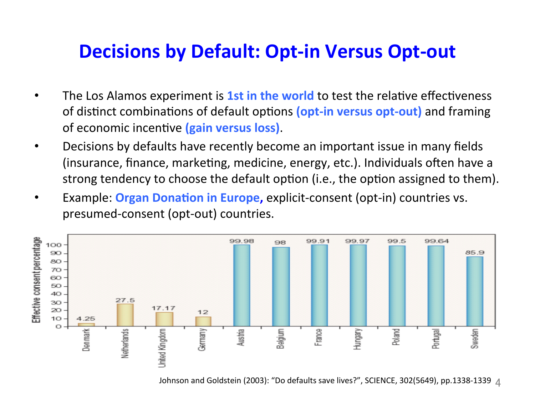#### **Decisions by Default: Opt-in Versus Opt-out**

- The Los Alamos experiment is **1st in the world** to test the relative effectiveness of distinct combinations of default options (opt-in versus opt-out) and framing of economic incentive (gain versus loss).
- Decisions by defaults have recently become an important issue in many fields (insurance, finance, marketing, medicine, energy, etc.). Individuals often have a strong tendency to choose the default option (i.e., the option assigned to them).
- Example: Organ Donation in Europe, explicit-consent (opt-in) countries vs. presumed-consent (opt-out) countries.



Johnson and Goldstein (2003): "Do defaults save lives?", SCIENCE, 302(5649), pp.1338-1339  $\Lambda$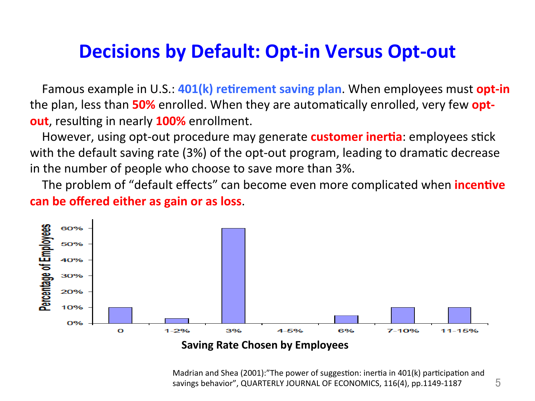#### **Decisions by Default: Opt-in Versus Opt-out**

Famous example in U.S.: **401(k) retirement saving plan**. When employees must **opt-in** the plan, less than **50%** enrolled. When they are automatically enrolled, very few **optout**, resulting in nearly **100%** enrollment.

However, using opt-out procedure may generate **customer inertia**: employees stick with the default saving rate (3%) of the opt-out program, leading to dramatic decrease in the number of people who choose to save more than 3%.

The problem of "default effects" can become even more complicated when **incentive can be offered either as gain or as loss.** 



#### **Saving Rate Chosen by Employees**

Madrian and Shea (2001):"The power of suggestion: inertia in  $401(k)$  participation and savings behavior", QUARTERLY JOURNAL OF ECONOMICS, 116(4), pp.1149-1187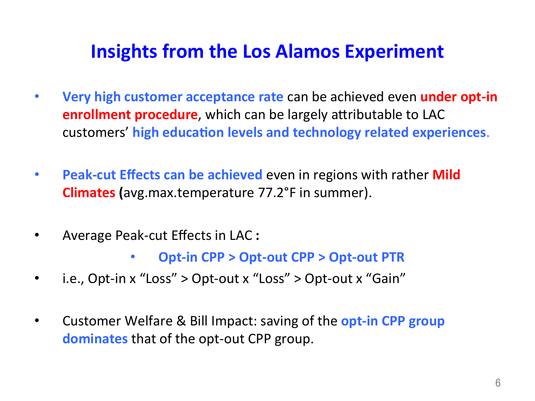### **Insights from the Los Alamos Experiment**

- **Very high customer acceptance rate can be achieved even under opt-in enrollment procedure**, which can be largely attributable to LAC customers' high education levels and technology related experiences.
- **Peak-cut Effects can be achieved** even in regions with rather **Mild Climates** (avg.max.temperature 77.2°F in summer).
- Average Peak-cut Effects in LAC :
	- **Opt-in CPP > Opt-out CPP > Opt-out PTR**
- i.e., Opt-in  $x$  "Loss"  $>$  Opt-out  $x$  "Loss"  $>$  Opt-out  $x$  "Gain"
- Customer Welfare & Bill Impact: saving of the **opt-in CPP group dominates** that of the opt-out CPP group.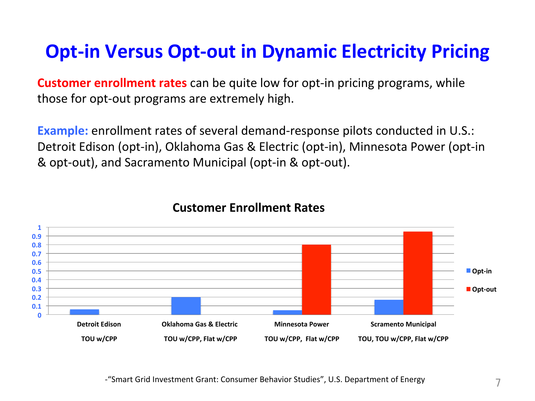### **Opt-in Versus Opt-out in Dynamic Electricity Pricing**

**Customer enrollment rates** can be quite low for opt-in pricing programs, while those for opt-out programs are extremely high.

**Example:** enrollment rates of several demand-response pilots conducted in U.S.: Detroit Edison (opt-in), Oklahoma Gas & Electric (opt-in), Minnesota Power (opt-in & opt-out), and Sacramento Municipal (opt-in & opt-out).



#### **Customer Fnrollment Rates**

-"Smart Grid Investment Grant: Consumer Behavior Studies", U.S. Department of Energy 7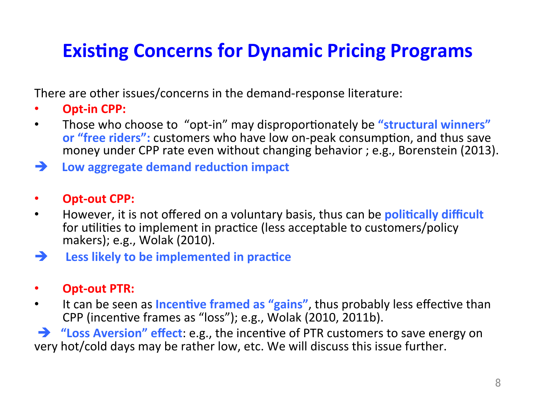## **Existing Concerns for Dynamic Pricing Programs**

There are other issues/concerns in the demand-response literature:

- **Opt-in CPP:**
- Those who choose to "opt-in" may disproportionately be "**structural winners" or "free riders":** customers who have low on-peak consumption, and thus save money under CPP rate even without changing behavior ; e.g., Borenstein (2013).
- $\rightarrow$  Low aggregate demand reduction impact
- **Opt-out CPP:**
- However, it is not offered on a voluntary basis, thus can be **politically difficult** for utilities to implement in practice (less acceptable to customers/policy makers); e.g., Wolak (2010).

#### $\rightarrow$  Less likely to be implemented in practice

#### **Opt-out PTR:**

• It can be seen as **Incentive framed as "gains"**, thus probably less effective than CPP (incentive frames as "loss"); e.g., Wolak (2010, 2011b).

 $\rightarrow$  **"Loss Aversion" effect**: e.g., the incentive of PTR customers to save energy on very hot/cold days may be rather low, etc. We will discuss this issue further.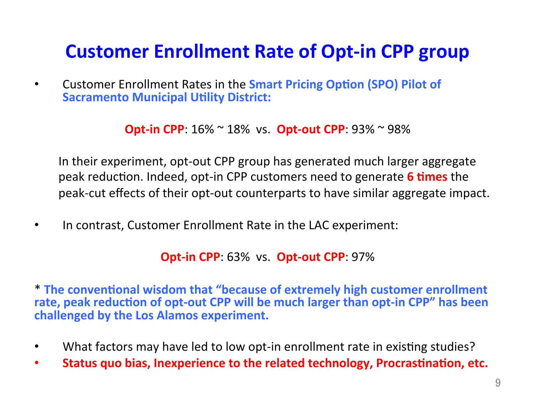#### **Customer Enrollment Rate of Opt-in CPP group**

• Customer Enrollment Rates in the **Smart Pricing Option (SPO) Pilot of Sacramento Municipal Utility District:** 

**Opt-in CPP**:  $16\% \sim 18\%$  vs. **Opt-out CPP**:  $93\% \sim 98\%$ 

In their experiment, opt-out CPP group has generated much larger aggregate peak reduction. Indeed, opt-in CPP customers need to generate **6 times** the peak-cut effects of their opt-out counterparts to have similar aggregate impact.

In contrast, Customer Enrollment Rate in the LAC experiment:

**Opt-in CPP: 63% vs. Opt-out CPP: 97%** 

\* The conventional wisdom that "because of extremely high customer enrollment rate, peak reduction of opt-out CPP will be much larger than opt-in CPP" has been challenged by the Los Alamos experiment.

- What factors may have led to low opt-in enrollment rate in existing studies?
- **Status quo bias, Inexperience to the related technology, Procrastination, etc.**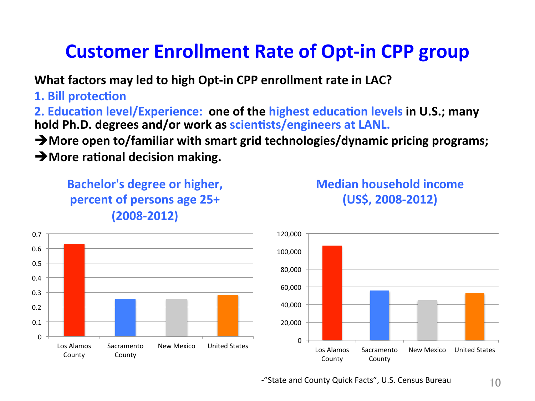#### **Customer Enrollment Rate of Opt-in CPP group**

**What factors may led to high Opt-in CPP enrollment rate in LAC?** 

**1. Bill protection** 

**2. Education level/Experience: one of the highest education levels in U.S.; many** hold Ph.D. degrees and/or work as scientists/engineers at LANL.

 $\rightarrow$  More open to/familiar with smart grid technologies/dynamic pricing programs;

 $\rightarrow$  More rational decision making.

**Bachelor's degree or higher, percent of persons age 25+ (2008-2012)** 



**Median household income (US\$, 2008-2012)** 

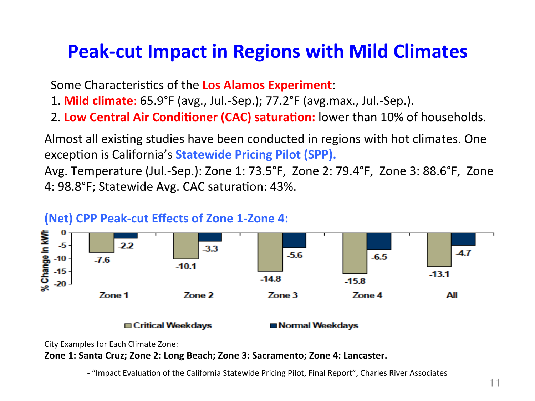#### **Peak-cut Impact in Regions with Mild Climates**

Some Characteristics of the Los Alamos Experiment:

- 1. **Mild climate**: 65.9°F (avg., Jul.-Sep.); 77.2°F (avg.max., Jul.-Sep.).
- 2. Low Central Air Conditioner (CAC) saturation: lower than 10% of households.

Almost all existing studies have been conducted in regions with hot climates. One exception is California's **Statewide Pricing Pilot (SPP).** 

Avg. Temperature (Jul.-Sep.): Zone 1: 73.5°F, Zone 2: 79.4°F, Zone 3: 88.6°F, Zone 4: 98.8°F; Statewide Avg. CAC saturation: 43%.



#### **(Net) CPP Peak-cut Effects of Zone 1-Zone 4:**

#### **□ Critical Weekdays**

Normal Weekdays

City Examples for Each Climate Zone:

**Zone 1: Santa Cruz; Zone 2: Long Beach; Zone 3: Sacramento; Zone 4: Lancaster.** 

- "Impact Evaluation of the California Statewide Pricing Pilot, Final Report", Charles River Associates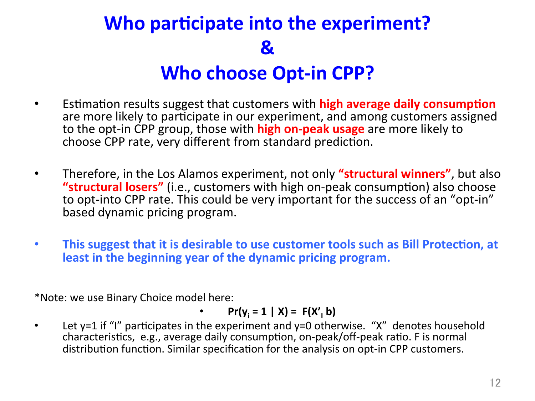# **Who participate into the experiment? & Who choose Opt-in CPP?**

- **Estimation results suggest that customers with high average daily consumption** are more likely to participate in our experiment, and among customers assigned to the opt-in CPP group, those with **high on-peak usage** are more likely to choose CPP rate, very different from standard prediction.
- Therefore, in the Los Alamos experiment, not only **"structural winners"**, but also **"structural losers"** (i.e., customers with high on-peak consumption) also choose to opt-into CPP rate. This could be very important for the success of an "opt-in" based dynamic pricing program.
- This suggest that it is desirable to use customer tools such as Bill Protection, at least in the beginning year of the dynamic pricing program.

\*Note: we use Binary Choice model here:

• 
$$
Pr(y_i = 1 | X) = F(X'_1 b)
$$

Let  $y=1$  if "I" participates in the experiment and  $y=0$  otherwise. "X" denotes household characteristics, e.g., average daily consumption, on-peak/off-peak ratio. F is normal distribution function. Similar specification for the analysis on opt-in CPP customers.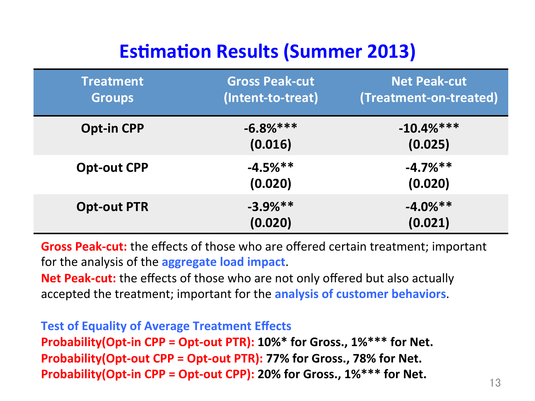## **Estimation Results (Summer 2013)**

| Treatment <sup>'</sup><br><b>Groups</b> | <b>Gross Peak-cut</b><br>(Intent-to-treat) | <b>Net Peak-cut</b><br>(Treatment-on-treated) |
|-----------------------------------------|--------------------------------------------|-----------------------------------------------|
| <b>Opt-in CPP</b>                       | $-6.8%***$<br>(0.016)                      | $-10.4%***$<br>(0.025)                        |
| <b>Opt-out CPP</b>                      | $-4.5%$ **<br>(0.020)                      | $-4.7\%**$<br>(0.020)                         |
| <b>Opt-out PTR</b>                      | $-3.9\%**$<br>(0.020)                      | $-4.0\%**$<br>(0.021)                         |

**Gross Peak-cut:** the effects of those who are offered certain treatment; important for the analysis of the **aggregate load impact**.

**Net Peak-cut:** the effects of those who are not only offered but also actually accepted the treatment; important for the **analysis of customer behaviors**.

**Test of Equality of Average Treatment Effects Probability(Opt-in CPP = Opt-out PTR): 10%\* for Gross., 1%\*\*\* for Net. Probability(Opt-out CPP = Opt-out PTR): 77% for Gross., 78% for Net. Probability(Opt-in CPP = Opt-out CPP): 20% for Gross., 1%\*\*\* for Net.**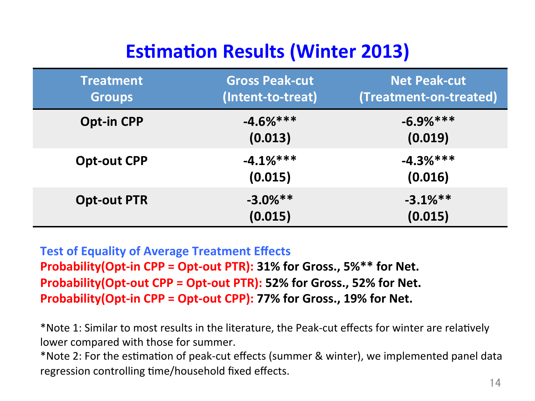## **Estimation Results (Winter 2013)**

| <b>Treatment</b><br><b>Groups</b> | <b>Gross Peak-cut</b><br>(Intent-to-treat) | <b>Net Peak-cut</b><br>(Treatment-on-treated) |
|-----------------------------------|--------------------------------------------|-----------------------------------------------|
| <b>Opt-in CPP</b>                 | $-4.6%***$<br>(0.013)                      | $-6.9%***$<br>(0.019)                         |
| <b>Opt-out CPP</b>                | $-4.1%***$<br>(0.015)                      | $-4.3%***$<br>(0.016)                         |
| <b>Opt-out PTR</b>                | $-3.0\%**$<br>(0.015)                      | $-3.1\%**$<br>(0.015)                         |

**Test of Equality of Average Treatment Effects Probability(Opt-in CPP = Opt-out PTR): 31% for Gross., 5%\*\* for Net. Probability(Opt-out CPP = Opt-out PTR): 52% for Gross., 52% for Net. Probability(Opt-in CPP = Opt-out CPP): 77% for Gross., 19% for Net.** 

\*Note 1: Similar to most results in the literature, the Peak-cut effects for winter are relatively lower compared with those for summer.

\*Note 2: For the estimation of peak-cut effects (summer & winter), we implemented panel data regression controlling time/household fixed effects.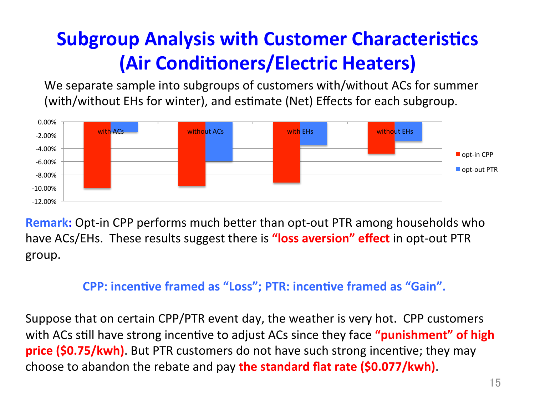# **Subgroup Analysis with Customer Characteristics (Air Conditioners/Electric Heaters)**

We separate sample into subgroups of customers with/without ACs for summer (with/without EHs for winter), and estimate (Net) Effects for each subgroup.



**Remark:** Opt-in CPP performs much better than opt-out PTR among households who have ACs/EHs. These results suggest there is **"loss aversion" effect** in opt-out PTR group. 

#### **CPP: incentive framed as "Loss"; PTR: incentive framed as "Gain".**

Suppose that on certain CPP/PTR event day, the weather is very hot. CPP customers with ACs still have strong incentive to adjust ACs since they face "**punishment" of high price (\$0.75/kwh)**. But PTR customers do not have such strong incentive; they may choose to abandon the rebate and pay **the standard flat rate (\$0.077/kwh)**.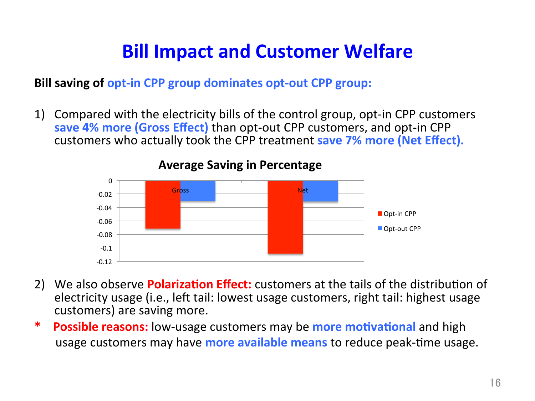### **Bill Impact and Customer Welfare**

**Bill saving of opt-in CPP group dominates opt-out CPP group:** 

1) Compared with the electricity bills of the control group, opt-in CPP customers save 4% more (Gross Effect) than opt-out CPP customers, and opt-in CPP customers who actually took the CPP treatment **save 7% more (Net Effect).** 



**Average Saving in Percentage** 

- 2) We also observe **Polarization Effect:** customers at the tails of the distribution of electricity usage (i.e., left tail: lowest usage customers, right tail: highest usage customers) are saving more.
- \* Possible reasons: low-usage customers may be more motivational and high usage customers may have **more available means** to reduce peak-time usage.